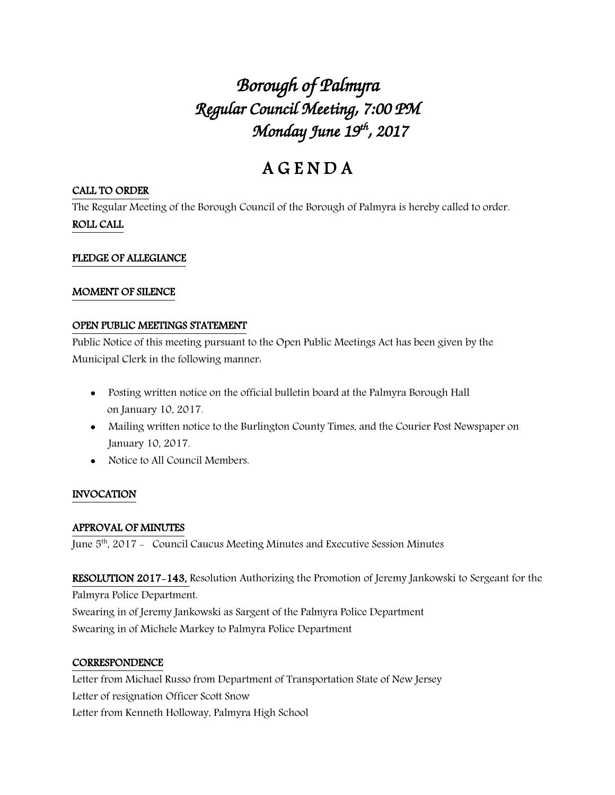# *Borough of Palmyra Regular Council Meeting, 7:00 PM Monday June 19th , 2017*

# A G E N D A

#### CALL TO ORDER

The Regular Meeting of the Borough Council of the Borough of Palmyra is hereby called to order. ROLL CALL

### PLEDGE OF ALLEGIANCE

#### MOMENT OF SILENCE

#### OPEN PUBLIC MEETINGS STATEMENT

Public Notice of this meeting pursuant to the Open Public Meetings Act has been given by the Municipal Clerk in the following manner:

- Posting written notice on the official bulletin board at the Palmyra Borough Hall on January 10, 2017.
- Mailing written notice to the Burlington County Times, and the Courier Post Newspaper on January 10, 2017.
- Notice to All Council Members.

## INVOCATION

#### APPROVAL OF MINUTES

June 5<sup>th</sup>, 2017 - Council Caucus Meeting Minutes and Executive Session Minutes

RESOLUTION 2017-143, Resolution Authorizing the Promotion of Jeremy Jankowski to Sergeant for the Palmyra Police Department.

Swearing in of Jeremy Jankowski as Sargent of the Palmyra Police Department Swearing in of Michele Markey to Palmyra Police Department

#### **CORRESPONDENCE**

Letter from Michael Russo from Department of Transportation State of New Jersey Letter of resignation Officer Scott Snow Letter from Kenneth Holloway, Palmyra High School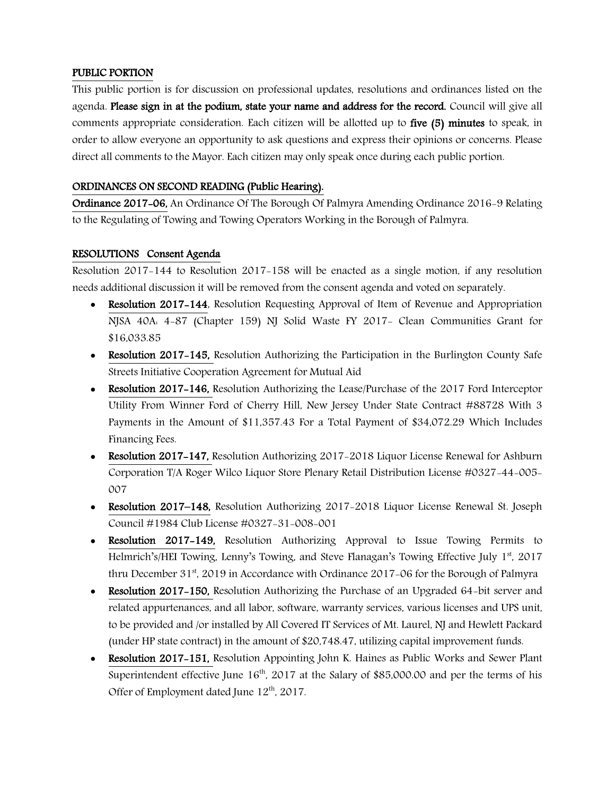#### PUBLIC PORTION

This public portion is for discussion on professional updates, resolutions and ordinances listed on the agenda. Please sign in at the podium, state your name and address for the record. Council will give all comments appropriate consideration. Each citizen will be allotted up to five (5) minutes to speak, in order to allow everyone an opportunity to ask questions and express their opinions or concerns. Please direct all comments to the Mayor. Each citizen may only speak once during each public portion.

#### ORDINANCES ON SECOND READING (Public Hearing).

Ordinance 2017-06, An Ordinance Of The Borough Of Palmyra Amending Ordinance 2016-9 Relating to the Regulating of Towing and Towing Operators Working in the Borough of Palmyra.

#### RESOLUTIONS Consent Agenda

Resolution 2017-144 to Resolution 2017-158 will be enacted as a single motion, if any resolution needs additional discussion it will be removed from the consent agenda and voted on separately.

- Resolution 2017–144, Resolution Requesting Approval of Item of Revenue and Appropriation NJSA 40A: 4-87 (Chapter 159) NJ Solid Waste FY 2017- Clean Communities Grant for \$16,033.85
- Resolution 2017–145, Resolution Authorizing the Participation in the Burlington County Safe Streets Initiative Cooperation Agreement for Mutual Aid
- Resolution 2017–146, Resolution Authorizing the Lease/Purchase of the 2017 Ford Interceptor Utility From Winner Ford of Cherry Hill, New Jersey Under State Contract #88728 With 3 Payments in the Amount of \$11,357.43 For a Total Payment of \$34,072.29 Which Includes Financing Fees.
- Resolution 2017-147, Resolution Authorizing 2017-2018 Liquor License Renewal for Ashburn Corporation T/A Roger Wilco Liquor Store Plenary Retail Distribution License #0327-44-005- 007
- Resolution 2017–148, Resolution Authorizing 2017-2018 Liquor License Renewal St. Joseph Council #1984 Club License #0327-31-008-001
- Resolution 2017-149, Resolution Authorizing Approval to Issue Towing Permits to Helmrich's/HEI Towing, Lenny's Towing, and Steve Flanagan's Towing Effective July 1st, 2017 thru December  $31<sup>st</sup>$ , 2019 in Accordance with Ordinance 2017-06 for the Borough of Palmyra
- Resolution 2017–150, Resolution Authorizing the Purchase of an Upgraded 64-bit server and related appurtenances, and all labor, software, warranty services, various licenses and UPS unit, to be provided and /or installed by All Covered IT Services of Mt. Laurel, NJ and Hewlett Packard (under HP state contract) in the amount of \$20,748.47, utilizing capital improvement funds.
- Resolution 2017-151, Resolution Appointing John K. Haines as Public Works and Sewer Plant Superintendent effective June  $16<sup>th</sup>$ , 2017 at the Salary of \$85,000.00 and per the terms of his Offer of Employment dated June  $12^{th}$ , 2017.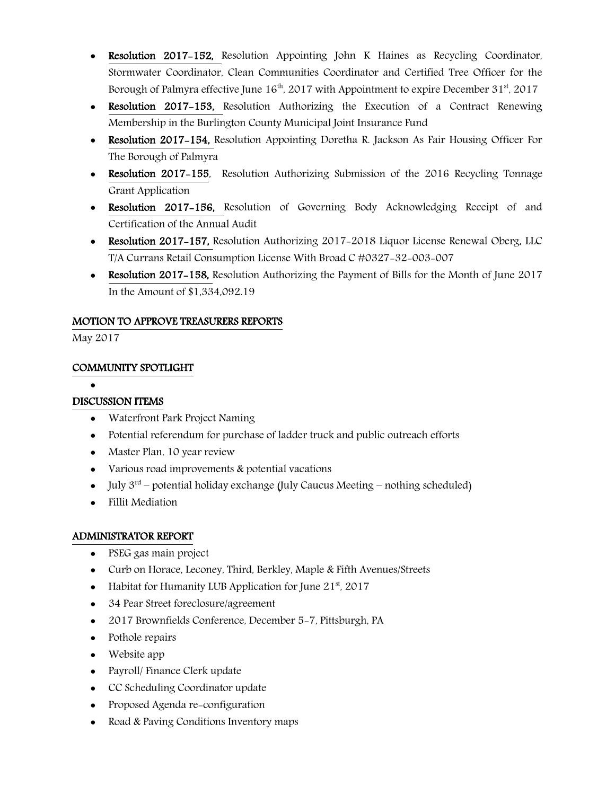- Resolution 2017-152, Resolution Appointing John K Haines as Recycling Coordinator, Stormwater Coordinator, Clean Communities Coordinator and Certified Tree Officer for the Borough of Palmyra effective June  $16<sup>th</sup>$ , 2017 with Appointment to expire December 31<sup>st</sup>, 2017
- Resolution 2017-153, Resolution Authorizing the Execution of a Contract Renewing Membership in the Burlington County Municipal Joint Insurance Fund
- Resolution 2017–154, Resolution Appointing Doretha R. Jackson As Fair Housing Officer For The Borough of Palmyra
- Resolution 2017–155, Resolution Authorizing Submission of the 2016 Recycling Tonnage Grant Application
- Resolution 2017-156, Resolution of Governing Body Acknowledging Receipt of and Certification of the Annual Audit
- Resolution 2017–157, Resolution Authorizing 2017–2018 Liquor License Renewal Oberg, LLC T/A Currans Retail Consumption License With Broad C #0327-32-003-007
- Resolution 2017–158, Resolution Authorizing the Payment of Bills for the Month of June 2017 In the Amount of \$1,334,092.19

#### MOTION TO APPROVE TREASURERS REPORTS

May 2017

#### COMMUNITY SPOTLIGHT

 $\bullet$ 

#### DISCUSSION ITEMS

- Waterfront Park Project Naming
- Potential referendum for purchase of ladder truck and public outreach efforts
- Master Plan, 10 year review
- Various road improvements & potential vacations
- July  $3^{rd}$  potential holiday exchange (July Caucus Meeting nothing scheduled)
- Fillit Mediation

#### ADMINISTRATOR REPORT

- PSEG gas main project
- Curb on Horace, Leconey, Third, Berkley, Maple & Fifth Avenues/Streets
- Habitat for Humanity LUB Application for June  $21<sup>st</sup>$ , 2017
- 34 Pear Street foreclosure/agreement
- 2017 Brownfields Conference, December 5-7, Pittsburgh, PA
- Pothole repairs
- Website app
- Payroll/ Finance Clerk update
- CC Scheduling Coordinator update
- Proposed Agenda re-configuration
- Road & Paving Conditions Inventory maps